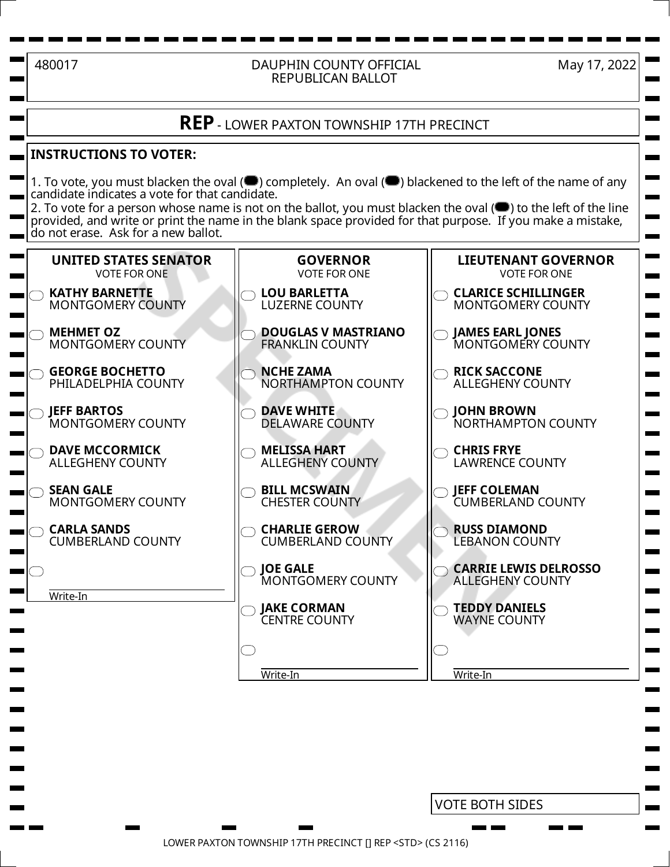## 480017 DAUPHIN COUNTY OFFICIAL REPUBLICAN BALLOT

May 17, 2022

## **REP**- LOWER PAXTON TOWNSHIP 17TH PRECINCT

## **INSTRUCTIONS TO VOTER:**

1. To vote, you must blacken the oval ( $\blacksquare$ ) completely. An oval ( $\blacksquare$ ) blackened to the left of the name of anv candidate indicates a vote for that candidate.

2. To vote for a person whose name is not on the ballot, you must blacken the oval  $($ **•**) to the left of the line provided, and write or print the name in the blank space provided for that purpose. If you make a mistake, do not erase. Ask for a new ballot.